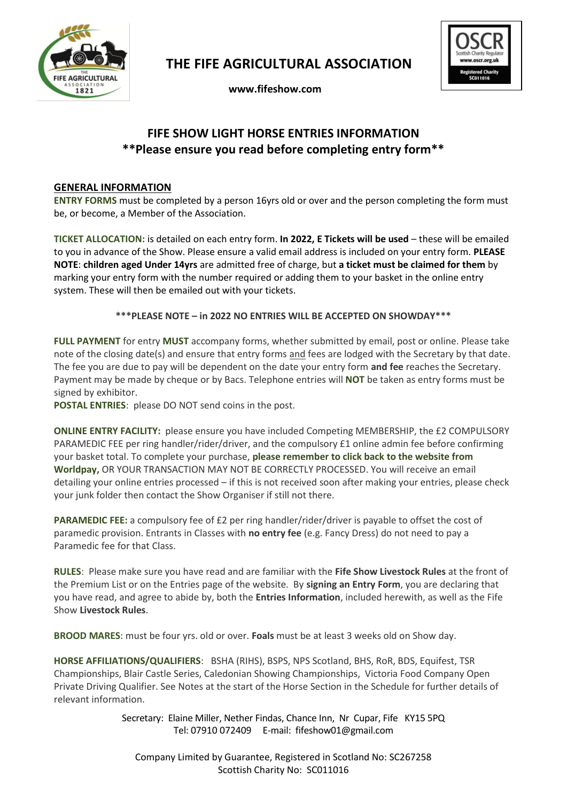

 **THE FIFE AGRICULTURAL ASSOCIATION**

 **www.fifeshow.com** 



## **FIFE SHOW LIGHT HORSE ENTRIES INFORMATION \*\*Please ensure you read before completing entry form\*\***

#### **GENERAL INFORMATION**

**ENTRY FORMS** must be completed by a person 16yrs old or over and the person completing the form must be, or become, a Member of the Association.

**TICKET ALLOCATION:** is detailed on each entry form. **In 2022, E Tickets will be used** – these will be emailed to you in advance of the Show. Please ensure a valid email address is included on your entry form. **PLEASE NOTE**: **children aged Under 14yrs** are admitted free of charge, but **a ticket must be claimed for them** by marking your entry form with the number required or adding them to your basket in the online entry system. These will then be emailed out with your tickets.

**\*\*\*PLEASE NOTE – in 2022 NO ENTRIES WILL BE ACCEPTED ON SHOWDAY\*\*\***

**FULL PAYMENT** for entry **MUST** accompany forms, whether submitted by email, post or online. Please take note of the closing date(s) and ensure that entry forms and fees are lodged with the Secretary by that date. The fee you are due to pay will be dependent on the date your entry form **and fee** reaches the Secretary. Payment may be made by cheque or by Bacs. Telephone entries will **NOT** be taken as entry forms must be signed by exhibitor.

**POSTAL ENTRIES**: please DO NOT send coins in the post.

**ONLINE ENTRY FACILITY:** please ensure you have included Competing MEMBERSHIP, the £2 COMPULSORY PARAMEDIC FEE per ring handler/rider/driver, and the compulsory £1 online admin fee before confirming your basket total. To complete your purchase, **please remember to click back to the website from Worldpay,** OR YOUR TRANSACTION MAY NOT BE CORRECTLY PROCESSED. You will receive an email detailing your online entries processed – if this is not received soon after making your entries, please check your junk folder then contact the Show Organiser if still not there.

**PARAMEDIC FEE:** a compulsory fee of £2 per ring handler/rider/driver is payable to offset the cost of paramedic provision. Entrants in Classes with **no entry fee** (e.g. Fancy Dress) do not need to pay a Paramedic fee for that Class.

**RULES**: Please make sure you have read and are familiar with the **Fife Show Livestock Rules** at the front of the Premium List or on the Entries page of the website. By **signing an Entry Form**, you are declaring that you have read, and agree to abide by, both the **Entries Information**, included herewith, as well as the Fife Show **Livestock Rules**.

**BROOD MARES**: must be four yrs. old or over. **Foals** must be at least 3 weeks old on Show day.

**HORSE AFFILIATIONS/QUALIFIERS**: BSHA (RIHS), BSPS, NPS Scotland, BHS, RoR, BDS, Equifest, TSR Championships, Blair Castle Series, Caledonian Showing Championships, Victoria Food Company Open Private Driving Qualifier. See Notes at the start of the Horse Section in the Schedule for further details of relevant information.

> Secretary: Elaine Miller, Nether Findas, Chance Inn, Nr Cupar, Fife KY15 5PQ Tel: 07910 072409 E-mail: fifeshow01@gmail.com

Company Limited by Guarantee, Registered in Scotland No: SC267258 Scottish Charity No: SC011016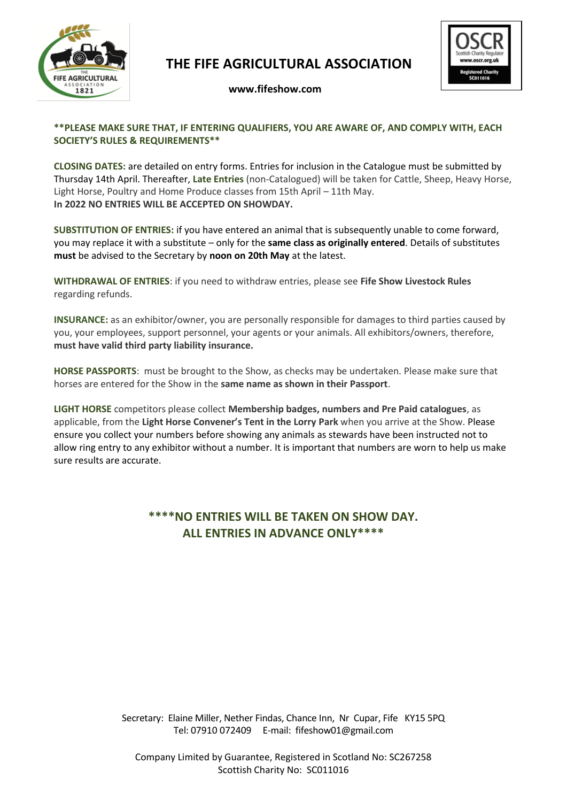

## **THE FIFE AGRICULTURAL ASSOCIATION**



#### **www.fifeshow.com**

#### **\*\*PLEASE MAKE SURE THAT, IF ENTERING QUALIFIERS, YOU ARE AWARE OF, AND COMPLY WITH, EACH SOCIETY'S RULES & REQUIREMENTS\*\***

**CLOSING DATES:** are detailed on entry forms. Entries for inclusion in the Catalogue must be submitted by Thursday 14th April. Thereafter, **Late Entries** (non-Catalogued) will be taken for Cattle, Sheep, Heavy Horse, Light Horse, Poultry and Home Produce classes from 15th April – 11th May. **In 2022 NO ENTRIES WILL BE ACCEPTED ON SHOWDAY.**

**SUBSTITUTION OF ENTRIES:** if you have entered an animal that is subsequently unable to come forward, you may replace it with a substitute – only for the **same class as originally entered**. Details of substitutes **must** be advised to the Secretary by **noon on 20th May** at the latest.

**WITHDRAWAL OF ENTRIES**: if you need to withdraw entries, please see **Fife Show Livestock Rules** regarding refunds.

**INSURANCE:** as an exhibitor/owner, you are personally responsible for damages to third parties caused by you, your employees, support personnel, your agents or your animals. All exhibitors/owners, therefore, **must have valid third party liability insurance.** 

**HORSE PASSPORTS**: must be brought to the Show, as checks may be undertaken. Please make sure that horses are entered for the Show in the **same name as shown in their Passport**.

**LIGHT HORSE** competitors please collect **Membership badges, numbers and Pre Paid catalogues**, as applicable, from the **Light Horse Convener's Tent in the Lorry Park** when you arrive at the Show. Please ensure you collect your numbers before showing any animals as stewards have been instructed not to allow ring entry to any exhibitor without a number. It is important that numbers are worn to help us make sure results are accurate.

### **\*\*\*\*NO ENTRIES WILL BE TAKEN ON SHOW DAY. ALL ENTRIES IN ADVANCE ONLY\*\*\*\***

Secretary: Elaine Miller, Nether Findas, Chance Inn, Nr Cupar, Fife KY15 5PQ Tel: 07910 072409 E-mail: fifeshow01@gmail.com

Company Limited by Guarantee, Registered in Scotland No: SC267258 Scottish Charity No: SC011016